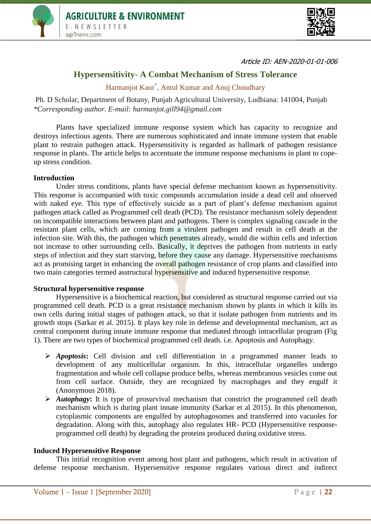



Article ID: AEN-2020-01-01-006

# **Hypersensitivity- A Combat Mechanism of Stress Tolerance**

Harmanjot Kaur\* , Antul Kumar and Anuj Choudhary

Ph. D Scholar, Department of Botany, Punjab Agricultural University, Ludhiana: 141004, Punjab *\*Corresponding author. E-mail: harmanjot.gill94@gmail.com*

Plants have specialized immune response system which has capacity to recognize and destroys infectious agents. There are numerous sophisticated and innate immune system that enable plant to restrain pathogen attack. Hypersensitivity is regarded as hallmark of pathogen resistance response in plants. The article helps to accentuate the immune response mechanisms in plant to copeup stress condition.

# **Introduction**

Under stress conditions, plants have special defense mechanism known as hypersensitivity. This response is accompanied with toxic compounds accumulation inside a dead cell and observed with naked eye. This type of effectively suicide as a part of plant's defense mechanism against pathogen attack called as Programmed cell death (PCD). The resistance mechanism solely dependent on incompatible interactions between plant and pathogens. There is complex signaling cascade in the resistant plant cells, which are coming from a virulent pathogen and result in cell death at the infection site. With this, the pathogen which penetrates already, would die within cells and infection not increase to other surrounding cells. Basically, it deprives the pathogen from nutrients in early steps of infection and they start starving, before they cause any damage. Hypersensitive mechanisms act as promising target in enhancing the overall pathogen resistance of crop plants and classified into two main categories termed asstructural hypersensitive and induced hypersensitive response.

## **Structural hypersensitive response**

Hypersensitive is a biochemical reaction, but considered as structural response carried out via programmed cell death. PCD is a great resistance mechanism shown by plants in which it kills its own cells during initial stages of pathogen attack, so that it isolate pathogen from nutrients and its growth stops (Sarkar et al. 2015). It plays key role in defense and developmental mechanism, act as central component during innate immune response that mediated through intracellular program (Fig 1). There are two types of biochemical programmed cell death. i.e. Apoptosis and Autophagy.

- *Apoptosis***:** Cell division and cell differentiation in a programmed manner leads to development of any multicellular organism. In this, intracellular organelles undergo fragmentation and whole cell collapse produce belbs, whereas membranous vesicles come out from cell surface. Outside, they are recognized by macrophages and they engulf it (Anonymous 2018).
- *Autophagy***:** It is type of prosurvival mechanism that constrict the programmed cell death mechanism which is during plant innate immunity (Sarkar et al 2015). In this phenomenon, cytoplasmic components are engulfed by autophagosomes and transferred into vacuoles for degradation. Along with this, autophagy also regulates HR- PCD (Hypersensitive responseprogrammed cell death) by degrading the proteins produced during oxidative stress.

## **Induced Hypersensitive Response**

This initial recognition event among host plant and pathogens, which result in activation of defense response mechanism. Hypersensitive response regulates various direct and indirect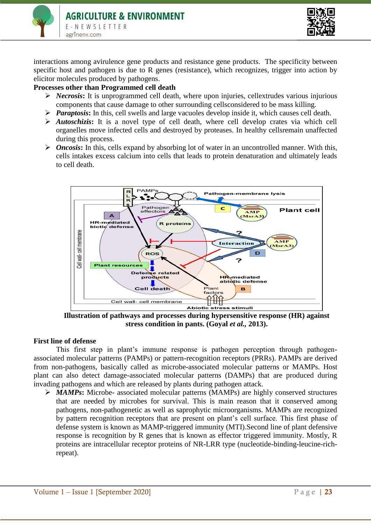

interactions among avirulence gene products and resistance gene products. The specificity between specific host and pathogen is due to R genes (resistance), which recognizes, trigger into action by elicitor molecules produced by pathogens.

# **Processes other than Programmed cell death**

- *Necrosis***:** It is unprogrammed cell death, where upon injuries, cellextrudes various injurious components that cause damage to other surrounding cellsconsidered to be mass killing.
- *Paraptosis***:** In this, cell swells and large vacuoles develop inside it, which causes cell death.
- *Autoschizis***:** It is a novel type of cell death, where cell develop crates via which cell organelles move infected cells and destroyed by proteases. In healthy cellsremain unaffected during this process.
- $\triangleright$  *Oncosis*: In this, cells expand by absorbing lot of water in an uncontrolled manner. With this, cells intakes excess calcium into cells that leads to protein denaturation and ultimately leads to cell death.



**Illustration of pathways and processes during hypersensitive response (HR) against stress condition in pants. (Goyal** *et al.,* **2013).**

# **First line of defense**

This first step in plant's immune response is pathogen perception through pathogenassociated molecular patterns (PAMPs) or pattern-recognition receptors (PRRs). PAMPs are derived from non-pathogens, basically called as microbe-associated molecular patterns or MAMPs. Host plant can also detect damage-associated molecular patterns (DAMPs) that are produced during invading pathogens and which are released by plants during pathogen attack.

 *MAMPs***:** Microbe- associated molecular patterns (MAMPs) are highly conserved structures that are needed by microbes for survival. This is main reason that it conserved among pathogens, non-pathogenetic as well as saprophytic microorganisms. MAMPs are recognized by pattern recognition receptors that are present on plant's cell surface. This first phase of defense system is known as MAMP-triggered immunity (MTI).Second line of plant defensive response is recognition by R genes that is known as effector triggered immunity. Mostly, R proteins are intracellular receptor proteins of NR-LRR type (nucleotide-binding-leucine-richrepeat).